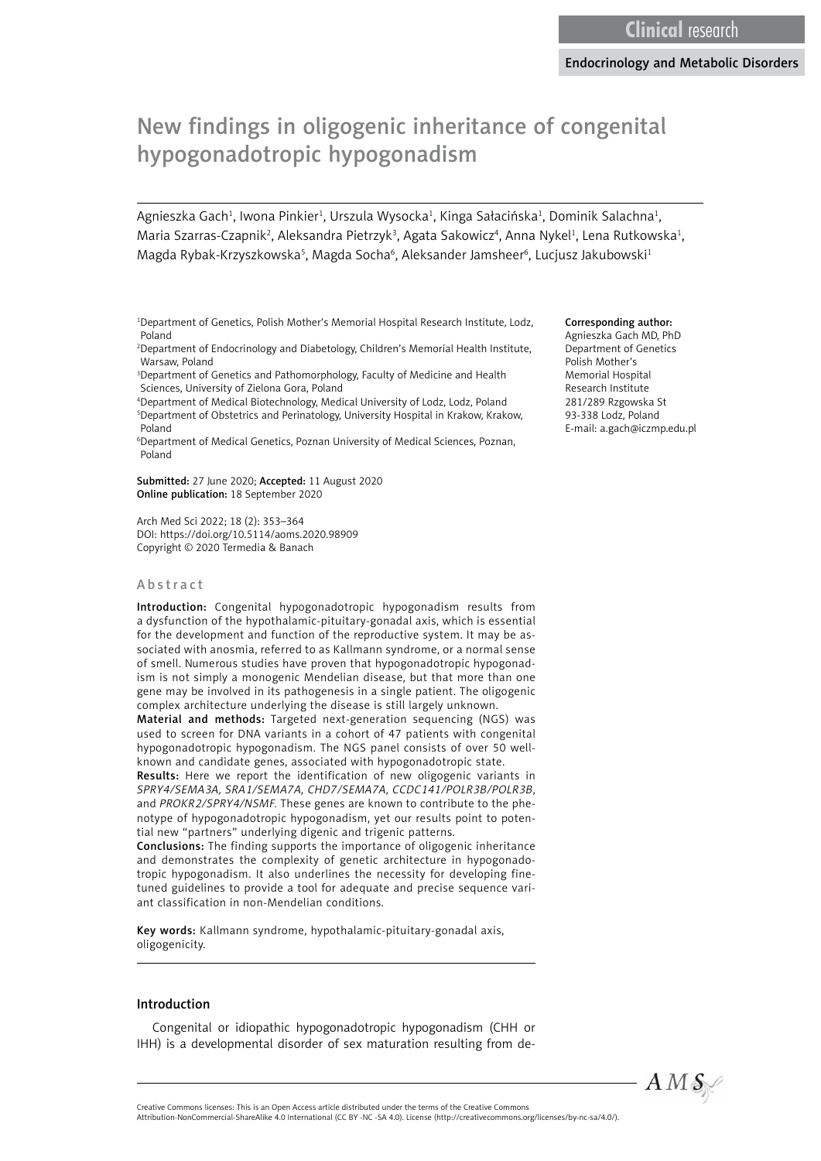# New findings in oligogenic inheritance of congenital hypogonadotropic hypogonadism

Agnieszka Gach<sup>1</sup>, Iwona Pinkier<sup>1</sup>, Urszula Wysocka<sup>1</sup>, Kinga Sałacińska<sup>1</sup>, Dominik Salachna<sup>1</sup>, Maria Szarras-Czapnik<sup>2</sup>, Aleksandra Pietrzyk<sup>3</sup>, Agata Sakowicz<sup>4</sup>, Anna Nykel<sup>1</sup>, Lena Rutkowska<sup>1</sup>, Magda Rybak-Krzyszkowska<sup>5</sup>, Magda Socha<sup>6</sup>, Aleksander Jamsheer<sup>6</sup>, Lucjusz Jakubowski<sup>1</sup>

1 Department of Genetics, Polish Mother's Memorial Hospital Research Institute, Lodz, Poland

2 Department of Endocrinology and Diabetology, Children's Memorial Health Institute, Warsaw, Poland

3 Department of Genetics and Pathomorphology, Faculty of Medicine and Health Sciences, University of Zielona Gora, Poland

4 Department of Medical Biotechnology, Medical University of Lodz, Lodz, Poland 5 Department of Obstetrics and Perinatology, University Hospital in Krakow, Krakow, Poland

6 Department of Medical Genetics, Poznan University of Medical Sciences, Poznan, Poland

Submitted: 27 June 2020; Accepted: 11 August 2020 Online publication: 18 September 2020

Arch Med Sci 2022; 18 (2): 353–364 DOI: https://doi.org/10.5114/aoms.2020.98909 Copyright © 2020 Termedia & Banach

#### Abstract

Introduction: Congenital hypogonadotropic hypogonadism results from a dysfunction of the hypothalamic-pituitary-gonadal axis, which is essential for the development and function of the reproductive system. It may be associated with anosmia, referred to as Kallmann syndrome, or a normal sense of smell. Numerous studies have proven that hypogonadotropic hypogonadism is not simply a monogenic Mendelian disease, but that more than one gene may be involved in its pathogenesis in a single patient. The oligogenic complex architecture underlying the disease is still largely unknown.

Material and methods: Targeted next-generation sequencing (NGS) was used to screen for DNA variants in a cohort of 47 patients with congenital hypogonadotropic hypogonadism. The NGS panel consists of over 50 wellknown and candidate genes, associated with hypogonadotropic state.

Results: Here we report the identification of new oligogenic variants in *SPRY4/SEMA3A, SRA1/SEMA7A, CHD7/SEMA7A, CCDC141/POLR3B/POLR3B*, and *PROKR2/SPRY4/NSMF.* These genes are known to contribute to the phenotype of hypogonadotropic hypogonadism, yet our results point to potential new "partners" underlying digenic and trigenic patterns.

Conclusions: The finding supports the importance of oligogenic inheritance and demonstrates the complexity of genetic architecture in hypogonadotropic hypogonadism. It also underlines the necessity for developing finetuned guidelines to provide a tool for adequate and precise sequence variant classification in non-Mendelian conditions.

Key words: Kallmann syndrome, hypothalamic-pituitary-gonadal axis, oligogenicity.

#### Introduction

Congenital or idiopathic hypogonadotropic hypogonadism (CHH or IHH) is a developmental disorder of sex maturation resulting from de-

#### Corresponding author:

Agnieszka Gach MD, PhD Department of Genetics Polish Mother's Memorial Hospital Research Institute 281/289 Rzgowska St 93-338 Lodz, Poland E-mail: a.gach@iczmp.edu.pl

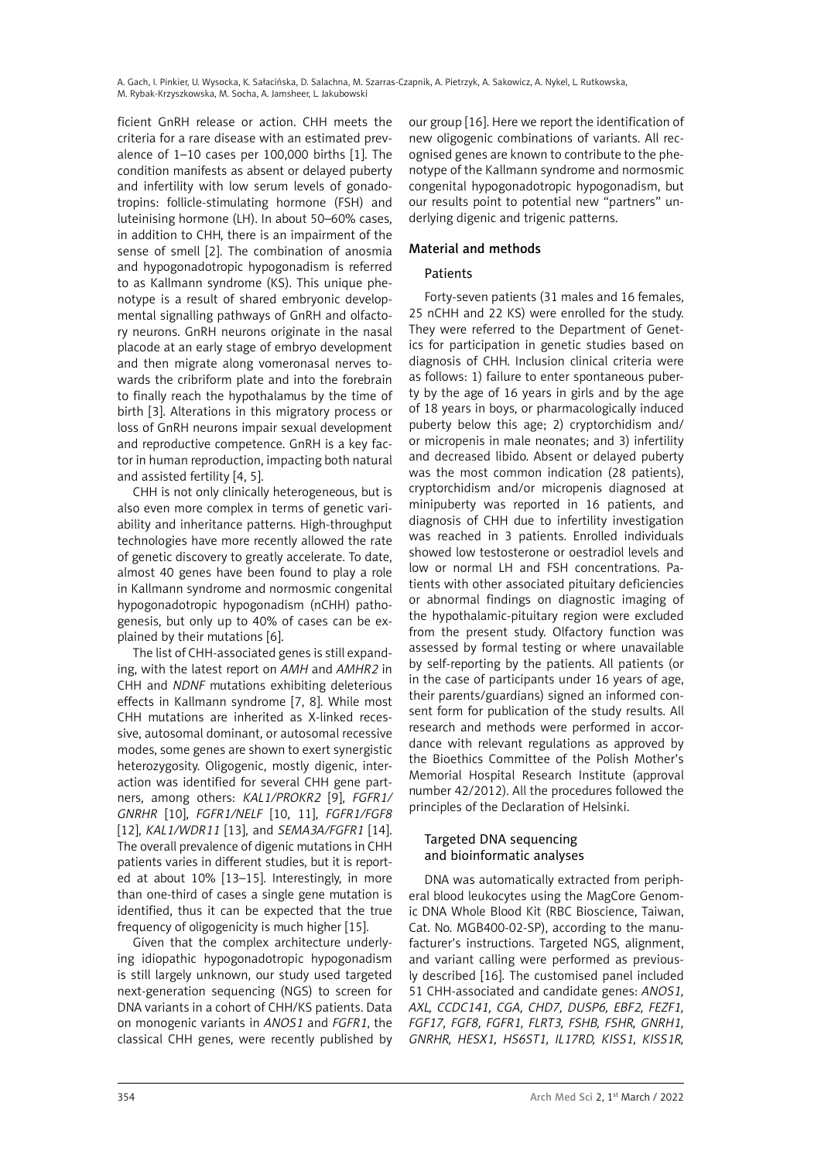ficient GnRH release or action. CHH meets the criteria for a rare disease with an estimated prevalence of 1–10 cases per 100,000 births [1]. The condition manifests as absent or delayed puberty and infertility with low serum levels of gonadotropins: follicle-stimulating hormone (FSH) and luteinising hormone (LH). In about 50–60% cases, in addition to CHH, there is an impairment of the sense of smell [2]. The combination of anosmia and hypogonadotropic hypogonadism is referred to as Kallmann syndrome (KS). This unique phenotype is a result of shared embryonic developmental signalling pathways of GnRH and olfactory neurons. GnRH neurons originate in the nasal placode at an early stage of embryo development and then migrate along vomeronasal nerves towards the cribriform plate and into the forebrain to finally reach the hypothalamus by the time of birth [3]. Alterations in this migratory process or loss of GnRH neurons impair sexual development and reproductive competence. GnRH is a key factor in human reproduction, impacting both natural and assisted fertility [4, 5].

CHH is not only clinically heterogeneous, but is also even more complex in terms of genetic variability and inheritance patterns. High-throughput technologies have more recently allowed the rate of genetic discovery to greatly accelerate. To date, almost 40 genes have been found to play a role in Kallmann syndrome and normosmic congenital hypogonadotropic hypogonadism (nCHH) pathogenesis, but only up to 40% of cases can be explained by their mutations [6].

The list of CHH-associated genes is still expanding, with the latest report on *AMH* and *AMHR2* in CHH and *NDNF* mutations exhibiting deleterious effects in Kallmann syndrome [7, 8]. While most CHH mutations are inherited as X-linked recessive, autosomal dominant, or autosomal recessive modes, some genes are shown to exert synergistic heterozygosity. Oligogenic, mostly digenic, interaction was identified for several CHH gene partners, among others: *KAL1/PROKR2* [9], *FGFR1/ GNRHR* [10], *FGFR1/NELF* [10, 11], *FGFR1/FGF8* [12], *KAL1/WDR11* [13], and *SEMA3A/FGFR1* [14]. The overall prevalence of digenic mutations in CHH patients varies in different studies, but it is reported at about 10% [13–15]. Interestingly, in more than one-third of cases a single gene mutation is identified, thus it can be expected that the true frequency of oligogenicity is much higher [15].

Given that the complex architecture underlying idiopathic hypogonadotropic hypogonadism is still largely unknown, our study used targeted next-generation sequencing (NGS) to screen for DNA variants in a cohort of CHH/KS patients. Data on monogenic variants in *ANOS1* and *FGFR1*, the classical CHH genes, were recently published by our group [16]. Here we report the identification of new oligogenic combinations of variants. All recognised genes are known to contribute to the phenotype of the Kallmann syndrome and normosmic congenital hypogonadotropic hypogonadism, but our results point to potential new "partners" underlying digenic and trigenic patterns.

## Material and methods

## Patients

Forty-seven patients (31 males and 16 females, 25 nCHH and 22 KS) were enrolled for the study. They were referred to the Department of Genetics for participation in genetic studies based on diagnosis of CHH. Inclusion clinical criteria were as follows: 1) failure to enter spontaneous puberty by the age of 16 years in girls and by the age of 18 years in boys, or pharmacologically induced puberty below this age; 2) cryptorchidism and/ or micropenis in male neonates; and 3) infertility and decreased libido. Absent or delayed puberty was the most common indication (28 patients), cryptorchidism and/or micropenis diagnosed at minipuberty was reported in 16 patients, and diagnosis of CHH due to infertility investigation was reached in 3 patients. Enrolled individuals showed low testosterone or oestradiol levels and low or normal LH and FSH concentrations. Patients with other associated pituitary deficiencies or abnormal findings on diagnostic imaging of the hypothalamic-pituitary region were excluded from the present study. Olfactory function was assessed by formal testing or where unavailable by self-reporting by the patients. All patients (or in the case of participants under 16 years of age, their parents/guardians) signed an informed consent form for publication of the study results. All research and methods were performed in accordance with relevant regulations as approved by the Bioethics Committee of the Polish Mother's Memorial Hospital Research Institute (approval number 42/2012). All the procedures followed the principles of the Declaration of Helsinki.

## Targeted DNA sequencing and bioinformatic analyses

DNA was automatically extracted from peripheral blood leukocytes using the MagCore Genomic DNA Whole Blood Kit (RBC Bioscience, Taiwan, Cat. No. MGB400-02-SP), according to the manufacturer's instructions. Targeted NGS, alignment, and variant calling were performed as previously described [16]. The customised panel included 51 CHH-associated and candidate genes: *ANOS1, AXL, CCDC141, CGA, CHD7, DUSP6, EBF2, FEZF1, FGF17, FGF8, FGFR1, FLRT3, FSHB, FSHR, GNRH1, GNRHR, HESX1, HS6ST1, IL17RD, KISS1, KISS1R,*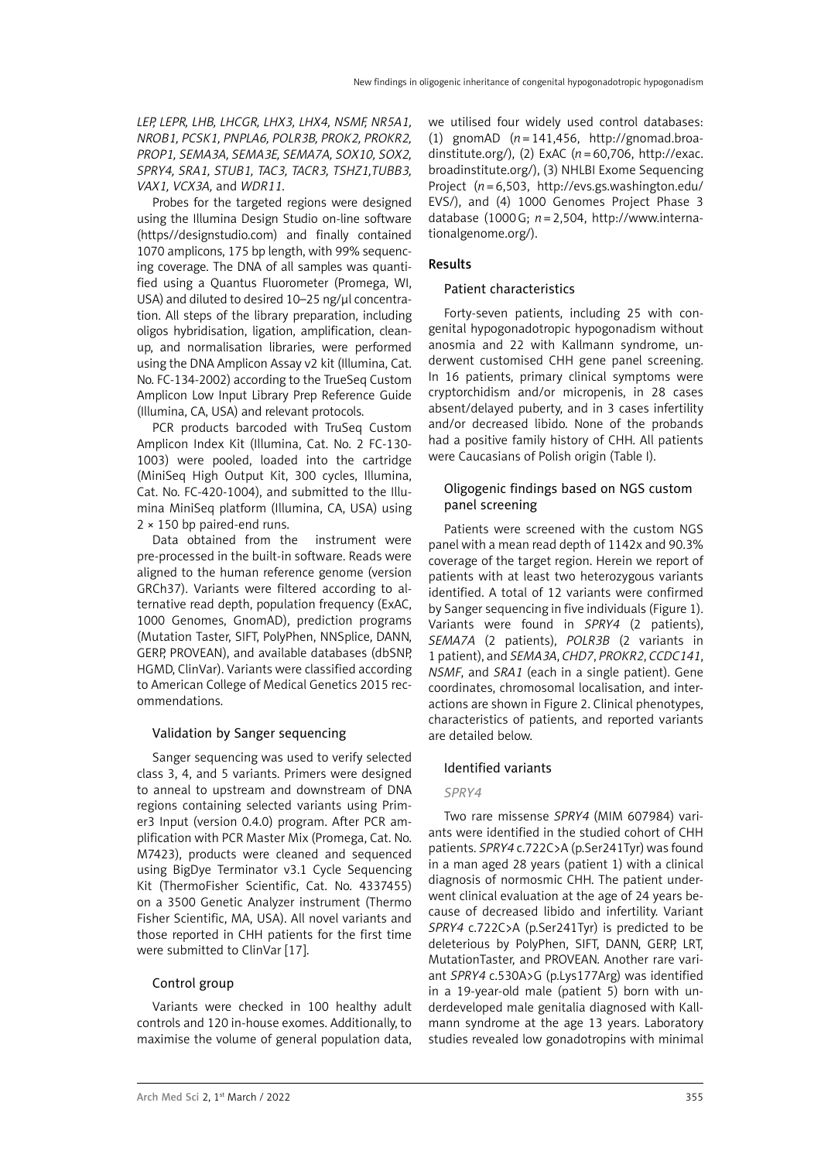*LEP, LEPR, LHB, LHCGR, LHX3, LHX4, NSMF, NR5A1, NROB1, PCSK1, PNPLA6, POLR3B, PROK2, PROKR2, PROP1, SEMA3A, SEMA3E, SEMA7A, SOX10, SOX2, SPRY4, SRA1, STUB1, TAC3, TACR3, TSHZ1,TUBB3, VAX1, VCX3A,* and *WDR11*.

Probes for the targeted regions were designed using the Illumina Design Studio on-line software (https//designstudio.com) and finally contained 1070 amplicons, 175 bp length, with 99% sequencing coverage. The DNA of all samples was quantified using a Quantus Fluorometer (Promega, WI, USA) and diluted to desired 10–25 ng/μl concentration. All steps of the library preparation, including oligos hybridisation, ligation, amplification, cleanup, and normalisation libraries, were performed using the DNA Amplicon Assay v2 kit (Illumina, Cat. No. FC-134-2002) according to the TrueSeq Custom Amplicon Low Input Library Prep Reference Guide (Illumina, CA, USA) and relevant protocols.

PCR products barcoded with TruSeq Custom Amplicon Index Kit (Illumina, Cat. No. 2 FC-130- 1003) were pooled, loaded into the cartridge (MiniSeq High Output Kit, 300 cycles, Illumina, Cat. No. FC-420-1004), and submitted to the Illumina MiniSeq platform (Illumina, CA, USA) using 2 × 150 bp paired-end runs.

Data obtained from the instrument were pre-processed in the built-in software. Reads were aligned to the human reference genome (version GRCh37). Variants were filtered according to alternative read depth, population frequency (ExAC, 1000 Genomes, GnomAD), prediction programs (Mutation Taster, SIFT, PolyPhen, NNSplice, DANN, GERP, PROVEAN), and available databases (dbSNP, HGMD, ClinVar). Variants were classified according to American College of Medical Genetics 2015 recommendations.

## Validation by Sanger sequencing

Sanger sequencing was used to verify selected class 3, 4, and 5 variants. Primers were designed to anneal to upstream and downstream of DNA regions containing selected variants using Primer3 Input (version 0.4.0) program. After PCR amplification with PCR Master Mix (Promega, Cat. No. M7423), products were cleaned and sequenced using BigDye Terminator v3.1 Cycle Sequencing Kit (ThermoFisher Scientific, Cat. No. 4337455) on a 3500 Genetic Analyzer instrument (Thermo Fisher Scientific, MA, USA). All novel variants and those reported in CHH patients for the first time were submitted to ClinVar [17].

## Control group

Variants were checked in 100 healthy adult controls and 120 in-house exomes. Additionally, to maximise the volume of general population data, we utilised four widely used control databases: (1) gnomAD (*n*=141,456, http://gnomad.broadinstitute.org/), (2) ExAC (*n*=60,706, http://exac. broadinstitute.org/), (3) NHLBI Exome Sequencing Project (*n*=6,503, http://evs.gs.washington.edu/ EVS/), and (4) 1000 Genomes Project Phase 3 database (1000G; *n*=2,504, http://www.internationalgenome.org/).

## Results

## Patient characteristics

Forty-seven patients, including 25 with congenital hypogonadotropic hypogonadism without anosmia and 22 with Kallmann syndrome, underwent customised CHH gene panel screening. In 16 patients, primary clinical symptoms were cryptorchidism and/or micropenis, in 28 cases absent/delayed puberty, and in 3 cases infertility and/or decreased libido. None of the probands had a positive family history of CHH. All patients were Caucasians of Polish origin (Table I).

## Oligogenic findings based on NGS custom panel screening

Patients were screened with the custom NGS panel with a mean read depth of 1142x and 90.3% coverage of the target region. Herein we report of patients with at least two heterozygous variants identified. A total of 12 variants were confirmed by Sanger sequencing in five individuals (Figure 1). Variants were found in *SPRY4* (2 patients), *SEMA7A* (2 patients), *POLR3B* (2 variants in 1 patient), and *SEMA3A*, *CHD7*, *PROKR2*, *CCDC141*, *NSMF*, and *SRA1* (each in a single patient). Gene coordinates, chromosomal localisation, and interactions are shown in Figure 2. Clinical phenotypes, characteristics of patients, and reported variants are detailed below.

## Identified variants

## *SPRY4*

Two rare missense *SPRY4* (MIM 607984) variants were identified in the studied cohort of CHH patients. *SPRY4* c.722C>A (p.Ser241Tyr) was found in a man aged 28 years (patient 1) with a clinical diagnosis of normosmic CHH. The patient underwent clinical evaluation at the age of 24 years because of decreased libido and infertility. Variant *SPRY4* c.722C>A (p.Ser241Tyr) is predicted to be deleterious by PolyPhen, SIFT, DANN, GERP, LRT, MutationTaster, and PROVEAN. Another rare variant *SPRY4* c.530A>G (p.Lys177Arg) was identified in a 19-year-old male (patient 5) born with underdeveloped male genitalia diagnosed with Kallmann syndrome at the age 13 years. Laboratory studies revealed low gonadotropins with minimal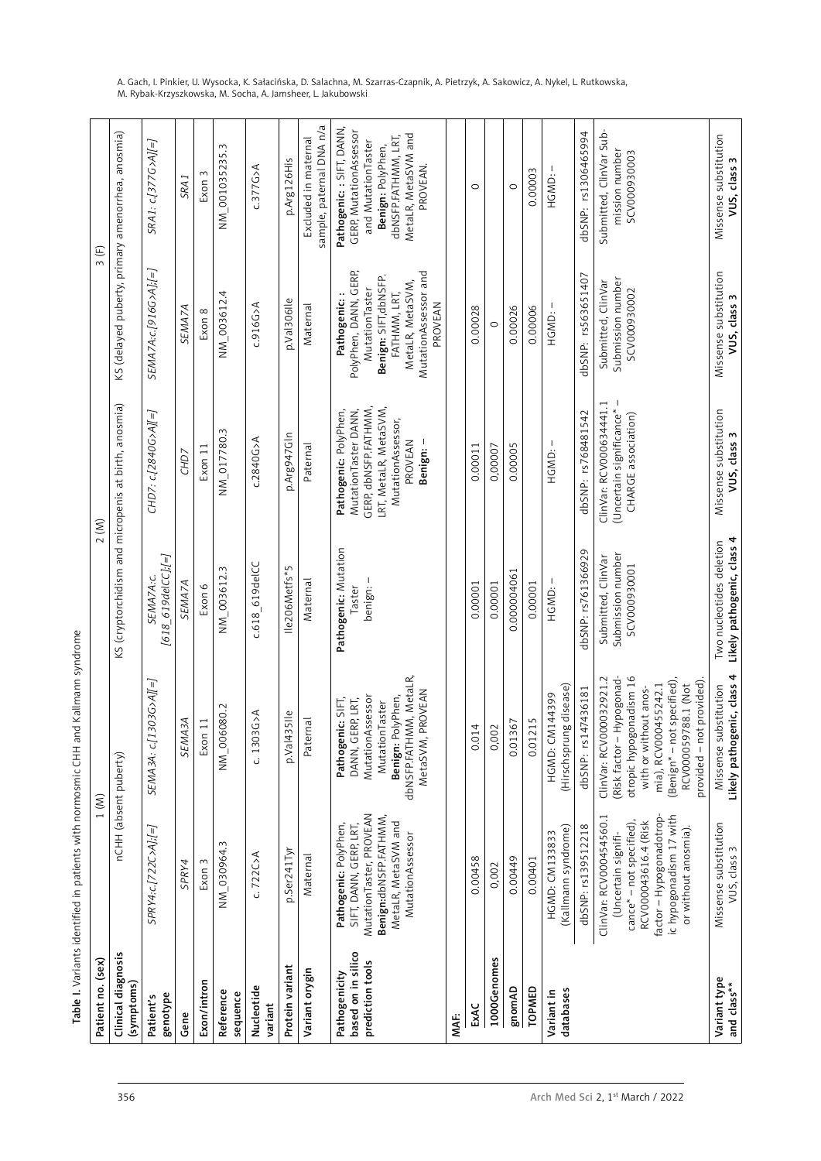|                                                             |                     | SEMA3A: c.[1 |                                                                                                                                                   |                                                                                                                                    |           | MutationTaster, PROVEAN<br>Benign:dbNSFP.FATHMM,<br>MetaLR, MetaSVM and<br>Pathogenic: PolyPhen,<br>SIFT, DANN, GERP, LRT,<br>SPRY4:c.[722C>A];[=]<br>MutationAssessor<br>NM_030964.3<br>p.Ser241Tyr<br>C.722C>A<br>Maternal<br>0.00458<br>Exon 3<br>SPRY4<br>0,002 | 0.00449     |                                                     | dbSNP: rs139512218<br>(Kallmann syndrome)<br>HGMD: CM133833<br>0.00401 |
|-------------------------------------------------------------|---------------------|--------------|---------------------------------------------------------------------------------------------------------------------------------------------------|------------------------------------------------------------------------------------------------------------------------------------|-----------|---------------------------------------------------------------------------------------------------------------------------------------------------------------------------------------------------------------------------------------------------------------------|-------------|-----------------------------------------------------|------------------------------------------------------------------------|
| NM_006080.2<br>$c. 1303G$ >A<br><b>SEMA3A</b><br>11<br>Exon | $35$ lle<br>p.Val43 | Paternal     | dbNSFP.FATHMM, MetaLR,<br>PROVEAN<br>MutationAssessor<br>Benign: PolyPhen,<br>Pathogenic: SIFT,<br>DANN, GERP, LRT,<br>MutationTaster<br>MetaSVM, |                                                                                                                                    | 4<br>0.01 | 0,002                                                                                                                                                                                                                                                               | 0.01367     | (Hirschsprung disease)<br>HGMD: CM144399<br>0.01215 | ClinVar: RCV000032921.2<br>dbSNP: rs147436181                          |
|                                                             |                     |              |                                                                                                                                                   |                                                                                                                                    |           |                                                                                                                                                                                                                                                                     |             |                                                     |                                                                        |
| NM_003612.3                                                 |                     |              |                                                                                                                                                   |                                                                                                                                    |           |                                                                                                                                                                                                                                                                     |             |                                                     |                                                                        |
| c.618_619delCC                                              | Ile206Metfs*5       | Maternal     | Pathogenic: Mutation<br>benign: –<br>Taster                                                                                                       |                                                                                                                                    | 0.00001   | 0.00001                                                                                                                                                                                                                                                             | 0.000004061 | HGMD:-<br>0.00001                                   | dbSNP: rs761366929                                                     |
| $c.2840G$ >A                                                |                     |              |                                                                                                                                                   | GERP, dbNSFP.FATHMM,<br>LRT, MetaLR, MetaSVM,<br>MutationTaster DANN,<br>Pathogenic: PolyPhen,<br>MutationAssessor,<br>p.Arg947Gln |           |                                                                                                                                                                                                                                                                     |             |                                                     | ClinVar: RCV000634441.1<br>dbSNP: rs768481542                          |
|                                                             |                     |              |                                                                                                                                                   |                                                                                                                                    |           |                                                                                                                                                                                                                                                                     |             |                                                     |                                                                        |
|                                                             |                     |              |                                                                                                                                                   |                                                                                                                                    |           |                                                                                                                                                                                                                                                                     |             |                                                     |                                                                        |

Table I. Variants identified in patients with normosmic CHH and Kallmann syndrome Table I. Variants identified in patients with normosmic CHH and Kallmann syndrome

A. Gach, I. Pinkier, U. Wysocka, K. Sałacińska, D. Salachna, M. Szarras-Czapnik, A. Pietrzyk, A. Sakowicz, A. Nykel, L. Rutkowska, M. Rybak-Krzyszkowska, M. Socha, A. Jamsheer, L. Jakubowski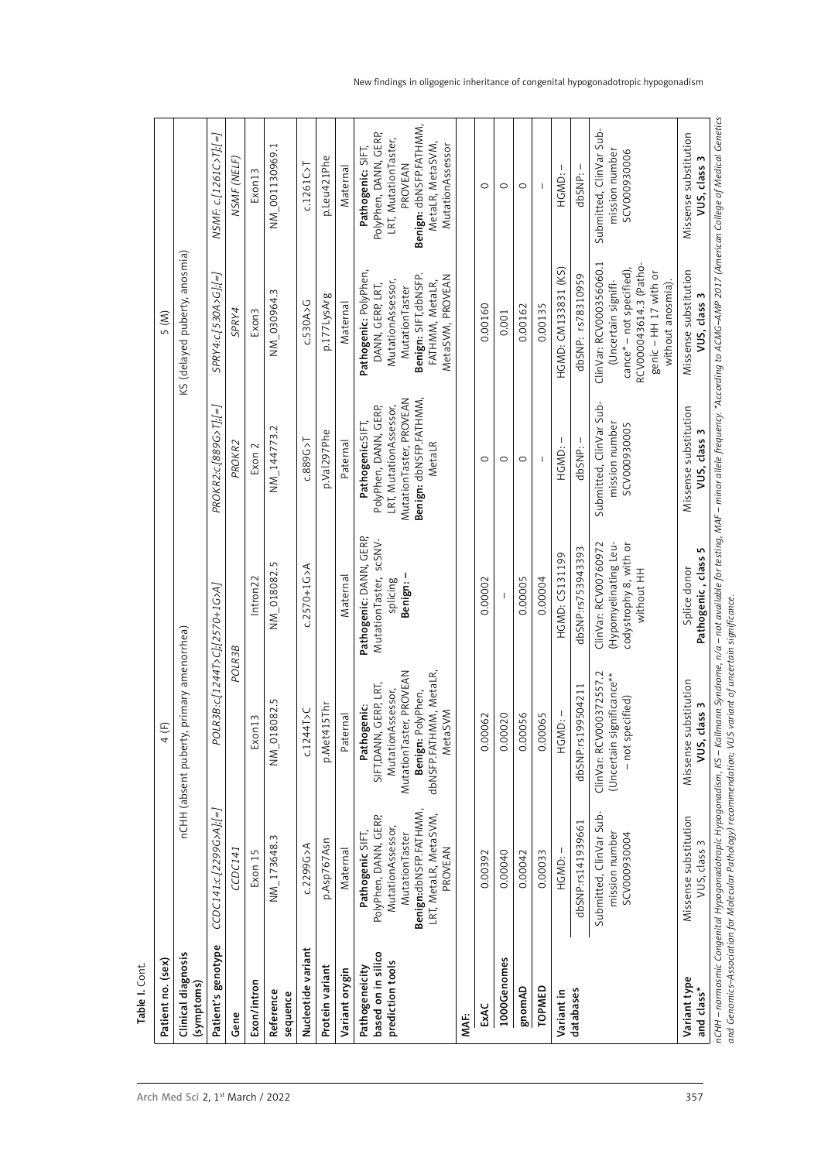| Patient no. (sex)                                                                                                                                                                                                                                                                                                                                                                                                                | Clinical diagnosis<br>(symptoms)          | Patient's genotype            | Gene               | Exon/intron       | Reference<br>sequence | Nucleotide variant | Protein variant | Variant orygin | based on in silico<br>prediction tools<br>Pathogeneicity                                                                                         | MAF: | ExAC    | 1000Genomes | gnomAD  | TOPMED  | Variant in          | databases             |                                                                                                                                                            | Variant type<br>and class*               |
|----------------------------------------------------------------------------------------------------------------------------------------------------------------------------------------------------------------------------------------------------------------------------------------------------------------------------------------------------------------------------------------------------------------------------------|-------------------------------------------|-------------------------------|--------------------|-------------------|-----------------------|--------------------|-----------------|----------------|--------------------------------------------------------------------------------------------------------------------------------------------------|------|---------|-------------|---------|---------|---------------------|-----------------------|------------------------------------------------------------------------------------------------------------------------------------------------------------|------------------------------------------|
| $\begin{picture}(220,20) \put(0,0){\dashbox{0.5}(5,0){ }} \thicklines \put(0,0){\dashbox{0.5}(5,0){ }} \thicklines \put(0,0){\dashbox{0.5}(5,0){ }} \thicklines \put(0,0){\dashbox{0.5}(5,0){ }} \thicklines \put(0,0){\dashbox{0.5}(5,0){ }} \thicklines \put(0,0){\dashbox{0.5}(5,0){ }} \thicklines \put(0,0){\dashbox{0.5}(5,0){ }} \thicklines \put(0,0){\dashbox{0.5}(5,0){ }} \thicklines \put(0,0){\dashbox{0.5}(5$<br>4 | nCHH (absent puberty, primary amenorrhea) | CCDC141:c.[2299G>A];[=]       | CCDC141            | Exon 15           | NM_173648.3           | c.2299G>A          | p.Asp767Asn     | Maternal       | Benign:dbNSFP.FATHMM<br>LRT, MetaLR, MetaSVM,<br>PolyPhen, DANN, GERP,<br>MutationAssessor,<br>Pathogenic SIFT,<br>MutationTaster<br>PROVEAN     |      | 0.00392 | 0.00040     | 0.00042 | 0.00033 | -<br>HGMD:          | dbSNP:rs141939661     | Submitted, ClinVar Sub-<br>mission number<br>SCV000930004                                                                                                  | Missense substitution<br>VUS, class      |
|                                                                                                                                                                                                                                                                                                                                                                                                                                  |                                           | POLR3B:c[1244T>C];[2570+1G>A] | POLR3B             | Exon13            | 8082.5<br>$NM_0$ 01   | c.1244T > C        | p.Met415Thr     | Paternal       | dbNSFP.FATHMM, MetaLR,<br>MutationTaster, PROVEAN<br>SIFT, DANN, GERP, LRT,<br>MutationAssessor,<br>Benign: PolyPhen,<br>Pathogenic:<br>MetaSVM  |      | 0.00062 | 0.00020     | 0.00056 | 0.00065 | HGMD:-              | 99504211<br>dbSNP:rs1 | ClinVar: RCV000372557.2<br>(Uncertain significance**<br>- not specified)                                                                                   | Missense substitution<br>class 3<br>vus, |
|                                                                                                                                                                                                                                                                                                                                                                                                                                  |                                           |                               |                    | Intron22          | NM_018082.5           | $c.2570 + 16$      |                 | Maternal       | Pathogenic: DANN, GERP,<br>MutationTaster, scSNV-<br>Benign: -<br>splicing                                                                       |      | 0.00002 |             | 0.00005 | 0.00004 | HGMD: CS131199      | dbSNP:rs753943393     | (Hypomyelinating Leu-<br>ClinVar: RCV00760972<br>codystrophy 8, with or<br>without HH                                                                      | Pathogenic, class 5<br>Splice donor      |
| 5(M)                                                                                                                                                                                                                                                                                                                                                                                                                             | KS (delayed puberty, anosmia)             | PROKR2:c.[889G>T]:[=]         | PROKR <sub>2</sub> | Exon 2            | $NN_144773.2$         | $C.889G$ >T        | p.Val297Phe     | Paternal       | MutationTaster, PROVEAN<br>Benign: dbNSFP.FATHMM,<br>LRT, MutationAssessor,<br>PolyPhen, DANN, GERP,<br>Pathogenic:SIFT,<br>MetaLR               |      | 0       | $\circ$     | $\circ$ |         | HGMD:-              | dbSNP: -              | Submitted, ClinVar Sub-<br>mission number<br>SCV000930005                                                                                                  | Missense substitution<br>VUS, class      |
|                                                                                                                                                                                                                                                                                                                                                                                                                                  |                                           | SPRY4:c.[530A>G];[=]          | SPRY4              | Exon <sub>3</sub> | NM_030964.3           | C.530A > G         | p.177LysArg     | Maternal       | Pathogenic: PolyPhen,<br>Benign: SIFT, dbNSFP.<br>MetaSVM, PROVEAN<br>MutationAssessor,<br>FATHMM, MetaLR,<br>DANN, GERP, LRT,<br>MutationTaster |      | 0.00160 | 0.001       | 0.00162 | 0.00135 | HGMD: CM133831 (KS) | dbSNP: rs78310959     | ClinVar: RCV000356060.1<br>RCV000043614.3 (Patho-<br>cance* - not specified),<br>genic-HH <sub>17</sub> with or<br>(Uncertain signifi-<br>without anosmia) | Missense substitution<br>VUS, class 3    |
|                                                                                                                                                                                                                                                                                                                                                                                                                                  |                                           | NSMF: c/1261C>T};/=1          | NSMF (NELF)        | Exon13            | NM_001130969.1        | $C.1261C$ >T       | p.Leu421Phe     | Maternal       | Benign: dbNSFP.FATHMM,<br>PolyPhen, DANN, GERP,<br>LRT, MutationTaster,<br>MetaLR, MetaSVM,<br>MutationAssessor<br>Pathogenic: SIFT,<br>PROVEAN  |      | $\circ$ | $\circ$     | $\circ$ |         | -1<br>HGMD:         | dbSNP: -              | Submitted, ClinVar Sub-<br>mission number<br>SCV000930006                                                                                                  | Missense substitution<br>VUS, class      |

and Genomics–Association for Molecular Pathology) recommendation; VUS variant of uncertain significance. *and Genomics–Association for Molecular Pathology) recommendation; VUS variant of uncertain significance.*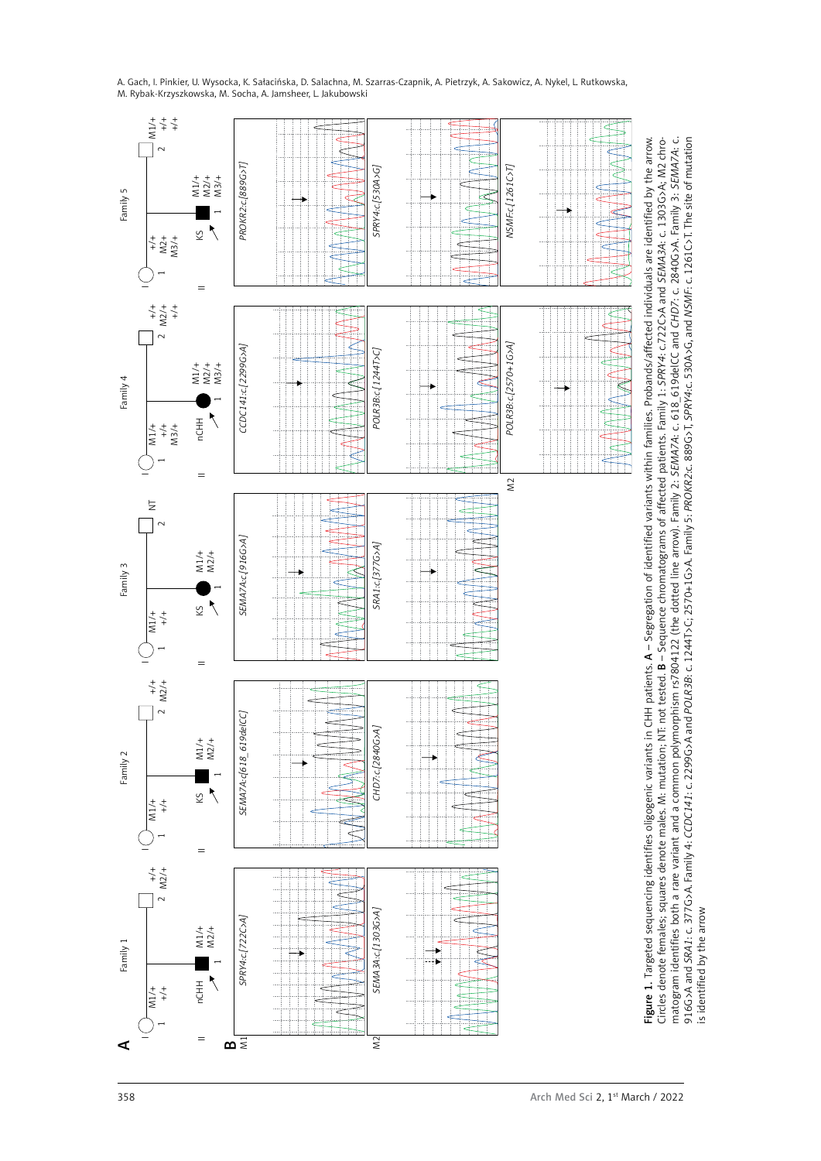

916G>A and *SRA1*: c. 377G>A. Family 4: *CCDC141*: c. 2299G>A and *POLR3B*: c. 1244T>C; 2570+1G>A. Family 5: *PROKR2*:c. 889G>T, *SPRY4*:c. 530A>G, and *NSMF*: c. 1261C>T. The site of mutation

is identified by the arrow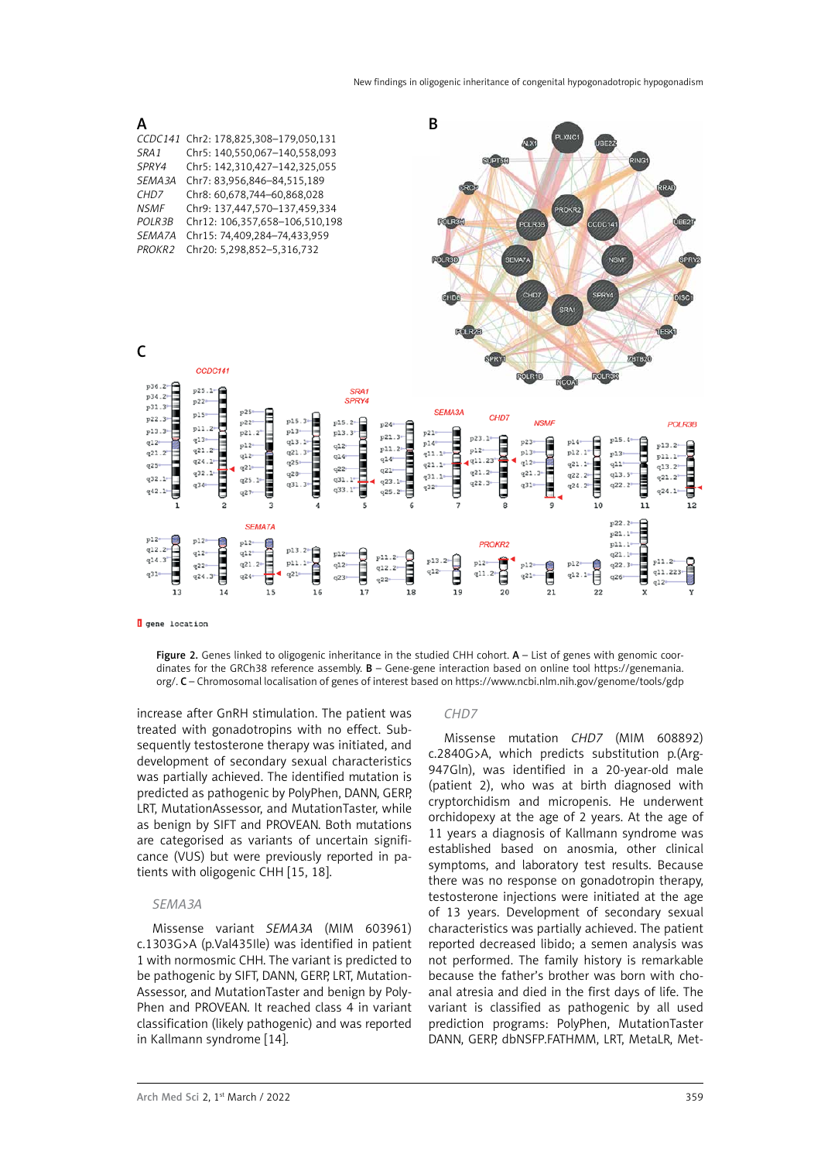

**Q** gene location

Figure 2. Genes linked to oligogenic inheritance in the studied CHH cohort.  $A -$  List of genes with genomic coordinates for the GRCh38 reference assembly. B – Gene-gene interaction based on online tool https://genemania. org/. C – Chromosomal localisation of genes of interest based on<https://www.ncbi.nlm.nih.gov/genome/tools/gdp>

increase after GnRH stimulation. The patient was treated with gonadotropins with no effect. Subsequently testosterone therapy was initiated, and development of secondary sexual characteristics was partially achieved. The identified mutation is predicted as pathogenic by PolyPhen, DANN, GERP, LRT, MutationAssessor, and MutationTaster, while as benign by SIFT and PROVEAN. Both mutations are categorised as variants of uncertain significance (VUS) but were previously reported in patients with oligogenic CHH [15, 18].

#### *SEMA3A*

Missense variant *SEMA3A* (MIM 603961) c.1303G>A (p.Val435Ile) was identified in patient 1 with normosmic CHH. The variant is predicted to be pathogenic by SIFT, DANN, GERP, LRT, Mutation-Assessor, and MutationTaster and benign by Poly-Phen and PROVEAN. It reached class 4 in variant classification (likely pathogenic) and was reported in Kallmann syndrome [14].

#### *CHD7*

Missense mutation *CHD7* (MIM 608892) c.2840G>A, which predicts substitution p.(Arg-947Gln), was identified in a 20-year-old male (patient 2), who was at birth diagnosed with cryptorchidism and micropenis. He underwent orchidopexy at the age of 2 years. At the age of 11 years a diagnosis of Kallmann syndrome was established based on anosmia, other clinical symptoms, and laboratory test results. Because there was no response on gonadotropin therapy, testosterone injections were initiated at the age of 13 years. Development of secondary sexual characteristics was partially achieved. The patient reported decreased libido; a semen analysis was not performed. The family history is remarkable because the father's brother was born with choanal atresia and died in the first days of life. The variant is classified as pathogenic by all used prediction programs: PolyPhen, MutationTaster DANN, GERP, dbNSFP.FATHMM, LRT, MetaLR, Met-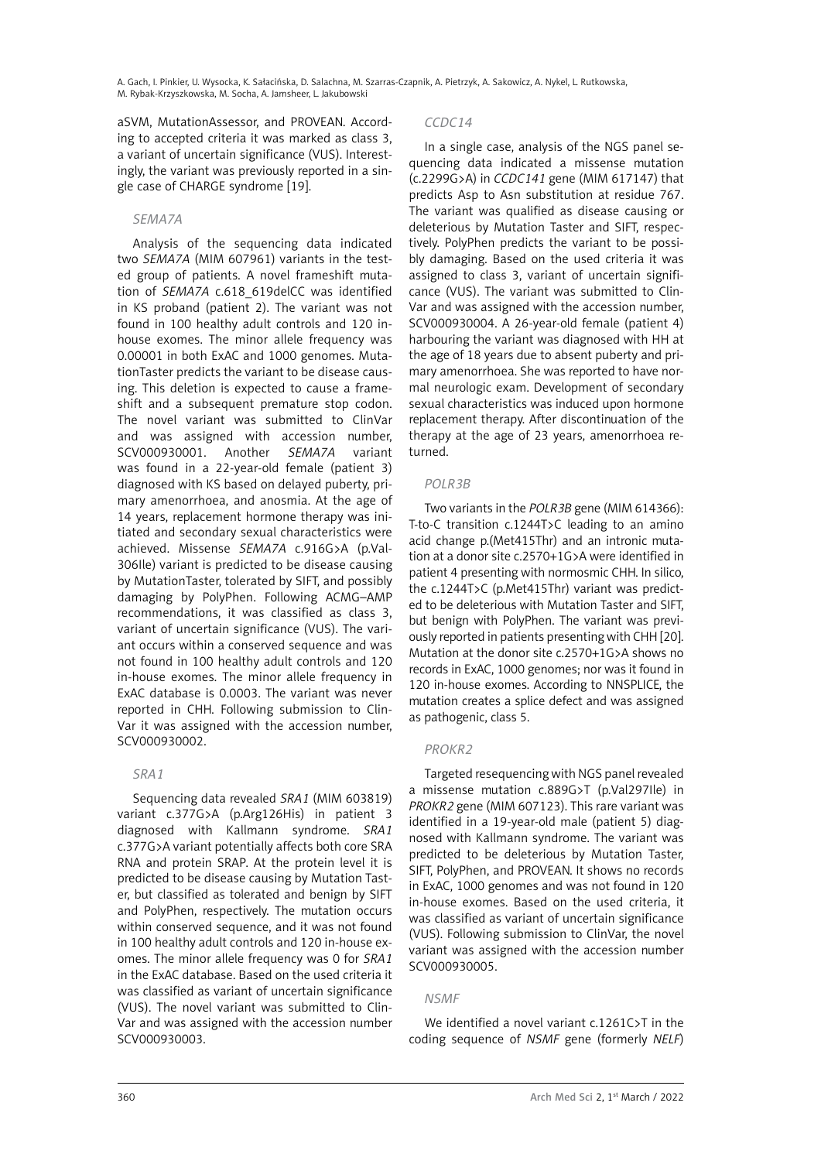aSVM, MutationAssessor, and PROVEAN. According to accepted criteria it was marked as class 3, a variant of uncertain significance (VUS). Interestingly, the variant was previously reported in a single case of CHARGE syndrome [19].

## *SEMA7A*

Analysis of the sequencing data indicated two *SEMA7A* (MIM 607961) variants in the tested group of patients. A novel frameshift mutation of *SEMA7A* c.618\_619delCC was identified in KS proband (patient 2). The variant was not found in 100 healthy adult controls and 120 inhouse exomes. The minor allele frequency was 0.00001 in both ExAC and 1000 genomes. MutationTaster predicts the variant to be disease causing. This deletion is expected to cause a frameshift and a subsequent premature stop codon. The novel variant was submitted to ClinVar and was assigned with accession number, SCV000930001. Another *SEMA7A* variant was found in a 22-year-old female (patient 3) diagnosed with KS based on delayed puberty, primary amenorrhoea, and anosmia. At the age of 14 years, replacement hormone therapy was initiated and secondary sexual characteristics were achieved. Missense *SEMA7A* c.916G>A (p.Val-306Ile) variant is predicted to be disease causing by MutationTaster, tolerated by SIFT, and possibly damaging by PolyPhen. Following ACMG–AMP recommendations, it was classified as class 3, variant of uncertain significance (VUS). The variant occurs within a conserved sequence and was not found in 100 healthy adult controls and 120 in-house exomes. The minor allele frequency in ExAC database is 0.0003. The variant was never reported in CHH. Following submission to Clin-Var it was assigned with the accession number, SCV000930002.

## *SRA1*

Sequencing data revealed *SRA1* (MIM 603819) variant c.377G>A (p.Arg126His) in patient 3 diagnosed with Kallmann syndrome. *SRA1* c.377G>A variant potentially affects both core SRA RNA and protein SRAP. At the protein level it is predicted to be disease causing by Mutation Taster, but classified as tolerated and benign by SIFT and PolyPhen, respectively. The mutation occurs within conserved sequence, and it was not found in 100 healthy adult controls and 120 in-house exomes. The minor allele frequency was 0 for *SRA1* in the ExAC database. Based on the used criteria it was classified as variant of uncertain significance (VUS). The novel variant was submitted to Clin-Var and was assigned with the accession number SCV000930003.

## *CCDC14*

In a single case, analysis of the NGS panel sequencing data indicated a missense mutation (c.2299G>A) in *CCDC141* gene (MIM 617147) that predicts Asp to Asn substitution at residue 767. The variant was qualified as disease causing or deleterious by Mutation Taster and SIFT, respectively. PolyPhen predicts the variant to be possibly damaging. Based on the used criteria it was assigned to class 3, variant of uncertain significance (VUS). The variant was submitted to Clin-Var and was assigned with the accession number, SCV000930004. A 26-year-old female (patient 4) harbouring the variant was diagnosed with HH at the age of 18 years due to absent puberty and primary amenorrhoea. She was reported to have normal neurologic exam. Development of secondary sexual characteristics was induced upon hormone replacement therapy. After discontinuation of the therapy at the age of 23 years, amenorrhoea returned.

## *POLR3B*

Two variants in the *POLR3B* gene (MIM 614366): T-to-C transition c.1244T>C leading to an amino acid change p.(Met415Thr) and an intronic mutation at a donor site c.2570+1G>A were identified in patient 4 presenting with normosmic CHH. In silico, the c.1244T>C (p.Met415Thr) variant was predicted to be deleterious with Mutation Taster and SIFT, but benign with PolyPhen. The variant was previously reported in patients presenting with CHH [20]. Mutation at the donor site c.2570+1G>A shows no records in ExAC, 1000 genomes; nor was it found in 120 in-house exomes. According to NNSPLICE, the mutation creates a splice defect and was assigned as pathogenic, class 5.

# *PROKR2*

Targeted resequencing with NGS panel revealed a missense mutation c.889G>T (p.Val297Ile) in *PROKR2* gene (MIM 607123). This rare variant was identified in a 19-year-old male (patient 5) diagnosed with Kallmann syndrome. The variant was predicted to be deleterious by Mutation Taster, SIFT, PolyPhen, and PROVEAN. It shows no records in ExAC, 1000 genomes and was not found in 120 in-house exomes. Based on the used criteria, it was classified as variant of uncertain significance (VUS). Following submission to ClinVar, the novel variant was assigned with the accession number SCV000930005.

# *NSMF*

We identified a novel variant c.1261C>T in the coding sequence of *NSMF* gene (formerly *NELF*)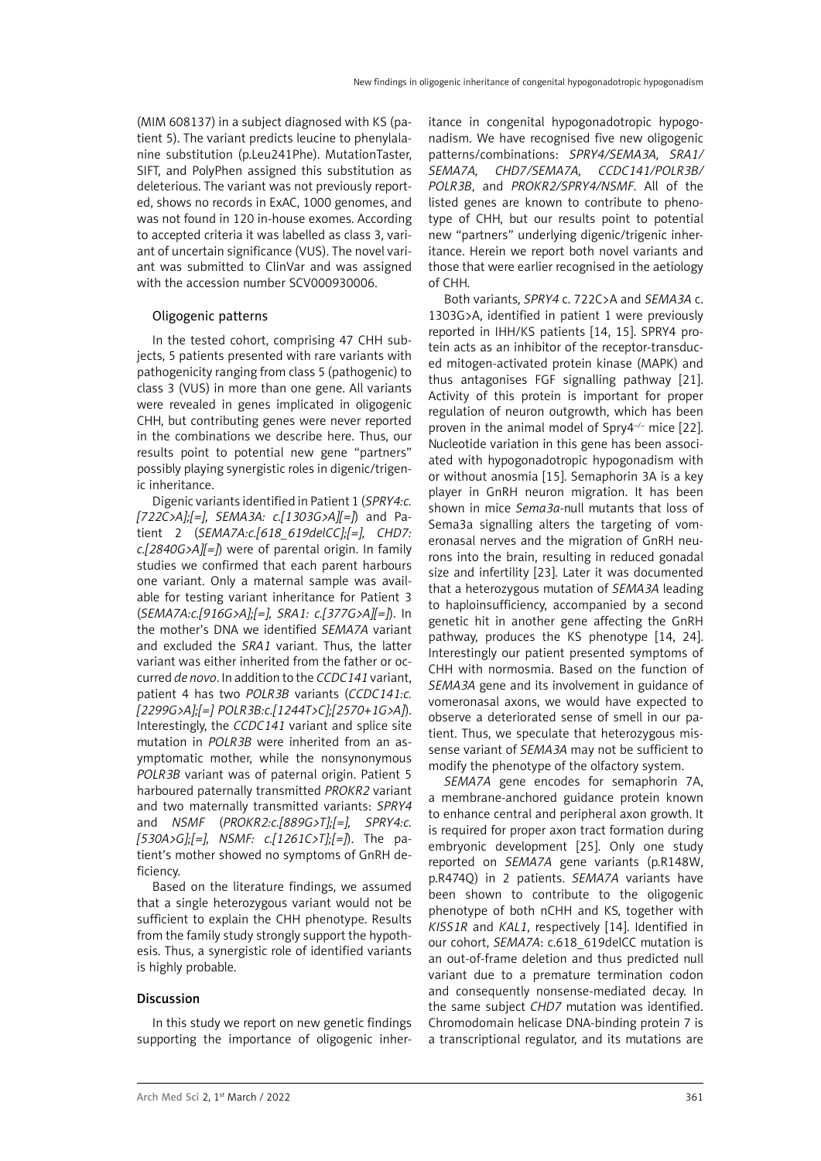(MIM 608137) in a subject diagnosed with KS (patient 5). The variant predicts leucine to phenylalanine substitution (p.Leu241Phe). MutationTaster, SIFT, and PolyPhen assigned this substitution as deleterious. The variant was not previously reported, shows no records in ExAC, 1000 genomes, and was not found in 120 in-house exomes. According to accepted criteria it was labelled as class 3, variant of uncertain significance (VUS). The novel variant was submitted to ClinVar and was assigned with the accession number SCV000930006.

#### Oligogenic patterns

In the tested cohort, comprising 47 CHH subjects, 5 patients presented with rare variants with pathogenicity ranging from class 5 (pathogenic) to class 3 (VUS) in more than one gene. All variants were revealed in genes implicated in oligogenic CHH, but contributing genes were never reported in the combinations we describe here. Thus, our results point to potential new gene "partners" possibly playing synergistic roles in digenic/trigenic inheritance.

Digenic variants identified in Patient 1 (*SPRY4:c. [722C>A];[=], SEMA3A: c.[1303G>A][=]*) and Patient 2 (*SEMA7A:c.[618\_619delCC];[=], CHD7: c.[2840G>A][=]*) were of parental origin. In family studies we confirmed that each parent harbours one variant. Only a maternal sample was available for testing variant inheritance for Patient 3 (*SEMA7A:c.[916G>A];[=], SRA1: c.[377G>A][=]*). In the mother's DNA we identified *SEMA7A* variant and excluded the *SRA1* variant. Thus, the latter variant was either inherited from the father or occurred *de novo*. In addition to the *CCDC141* variant, patient 4 has two *POLR3B* variants (*CCDC141:c. [2299G>A];[=] POLR3B:c.[1244T>C];[2570+1G>A]*). Interestingly, the *CCDC141* variant and splice site mutation in *POLR3B* were inherited from an asymptomatic mother, while the nonsynonymous *POLR3B* variant was of paternal origin. Patient 5 harboured paternally transmitted *PROKR2* variant and two maternally transmitted variants: *SPRY4* and *NSMF* (*PROKR2:c.[889G>T];[=], SPRY4:c. [530A>G];[=], NSMF: c.[1261C>T];[=]*). The patient's mother showed no symptoms of GnRH deficiency.

Based on the literature findings, we assumed that a single heterozygous variant would not be sufficient to explain the CHH phenotype. Results from the family study strongly support the hypothesis. Thus, a synergistic role of identified variants is highly probable.

#### Discussion

In this study we report on new genetic findings supporting the importance of oligogenic inheritance in congenital hypogonadotropic hypogonadism. We have recognised five new oligogenic patterns/combinations: *SPRY4/SEMA3A, SRA1/ SEMA7A, CHD7/SEMA7A, CCDC141/POLR3B/ POLR3B*, and *PROKR2/SPRY4/NSMF*. All of the listed genes are known to contribute to phenotype of CHH, but our results point to potential new "partners" underlying digenic/trigenic inheritance. Herein we report both novel variants and those that were earlier recognised in the aetiology of CHH.

Both variants, *SPRY4* c. 722C>A and *SEMA3A* c. 1303G>A, identified in patient 1 were previously reported in IHH/KS patients [14, 15]. SPRY4 protein acts as an inhibitor of the receptor-transduced mitogen-activated protein kinase (MAPK) and thus antagonises FGF signalling pathway [21]. Activity of this protein is important for proper regulation of neuron outgrowth, which has been proven in the animal model of Spry4<sup>-/-</sup> mice [22]. Nucleotide variation in this gene has been associated with hypogonadotropic hypogonadism with or without anosmia [15]. Semaphorin 3A is a key player in GnRH neuron migration. It has been shown in mice *Sema3a*-null mutants that loss of Sema3a signalling alters the targeting of vomeronasal nerves and the migration of GnRH neurons into the brain, resulting in reduced gonadal size and infertility [23]. Later it was documented that a heterozygous mutation of *SEMA3A* leading to haploinsufficiency, accompanied by a second genetic hit in another gene affecting the GnRH pathway, produces the KS phenotype [14, 24]. Interestingly our patient presented symptoms of CHH with normosmia. Based on the function of *SEMA3A* gene and its involvement in guidance of vomeronasal axons, we would have expected to observe a deteriorated sense of smell in our patient. Thus, we speculate that heterozygous missense variant of *SEMA3A* may not be sufficient to modify the phenotype of the olfactory system.

*SEMA7A* gene encodes for semaphorin 7A, a membrane-anchored guidance protein known to enhance central and peripheral axon growth. It is required for proper axon tract formation during embryonic development [25]. Only one study reported on *SEMA7A* gene variants (p.R148W, p.R474Q) in 2 patients. *SEMA7A* variants have been shown to contribute to the oligogenic phenotype of both nCHH and KS, together with *KISS1R* and *KAL1*, respectively [14]. Identified in our cohort, *SEMA7A*: c.618\_619delCC mutation is an out-of-frame deletion and thus predicted null variant due to a premature termination codon and consequently nonsense-mediated decay. In the same subject *CHD7* mutation was identified. Chromodomain helicase DNA-binding protein 7 is a transcriptional regulator, and its mutations are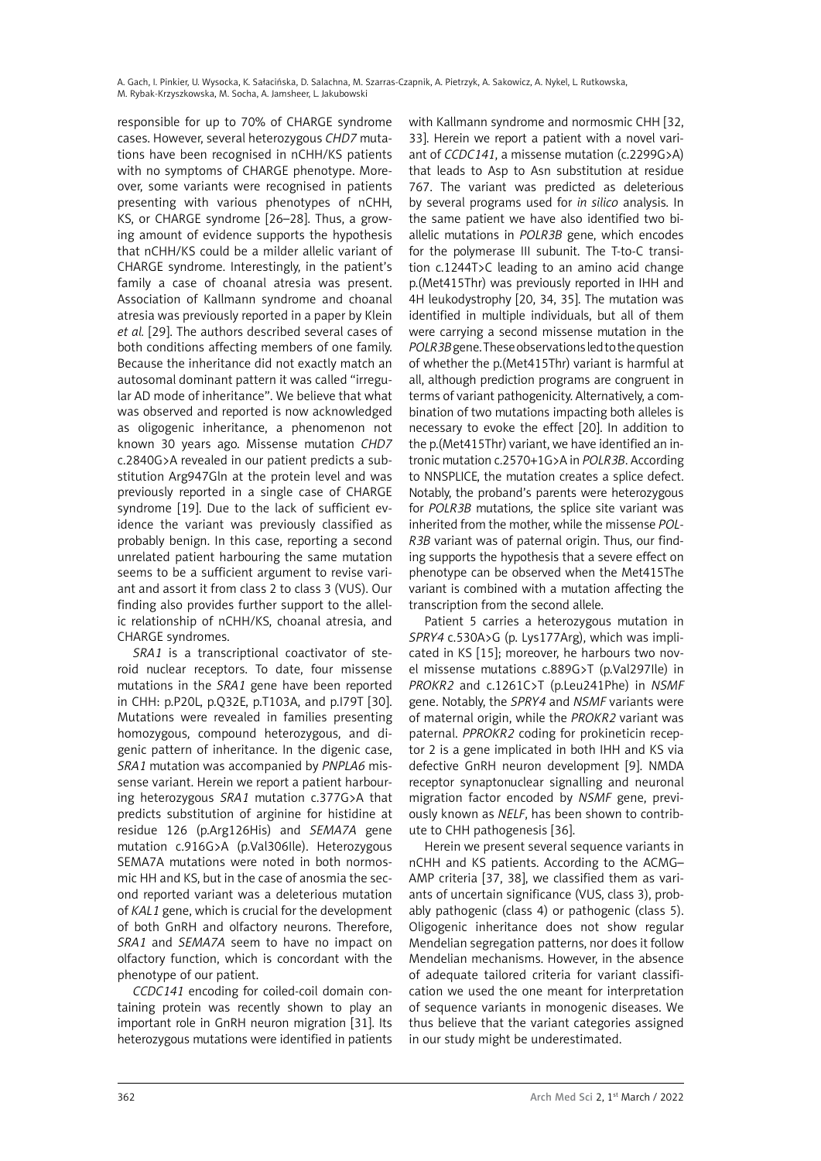responsible for up to 70% of CHARGE syndrome cases. However, several heterozygous *CHD7* mutations have been recognised in nCHH/KS patients with no symptoms of CHARGE phenotype. Moreover, some variants were recognised in patients presenting with various phenotypes of nCHH, KS, or CHARGE syndrome [26–28]. Thus, a growing amount of evidence supports the hypothesis that nCHH/KS could be a milder allelic variant of CHARGE syndrome. Interestingly, in the patient's family a case of choanal atresia was present. Association of Kallmann syndrome and choanal atresia was previously reported in a paper by Klein *et al.* [29]. The authors described several cases of both conditions affecting members of one family. Because the inheritance did not exactly match an autosomal dominant pattern it was called "irregular AD mode of inheritance". We believe that what was observed and reported is now acknowledged as oligogenic inheritance, a phenomenon not known 30 years ago. Missense mutation *CHD7* c.2840G>A revealed in our patient predicts a substitution Arg947Gln at the protein level and was previously reported in a single case of CHARGE syndrome [19]. Due to the lack of sufficient evidence the variant was previously classified as probably benign. In this case, reporting a second unrelated patient harbouring the same mutation seems to be a sufficient argument to revise variant and assort it from class 2 to class 3 (VUS). Our finding also provides further support to the allelic relationship of nCHH/KS, choanal atresia, and CHARGE syndromes.

*SRA1* is a transcriptional coactivator of steroid nuclear receptors. To date, four missense mutations in the *SRA1* gene have been reported in CHH: p.P20L, p.Q32E, p.T103A, and p.I79T [30]. Mutations were revealed in families presenting homozygous, compound heterozygous, and digenic pattern of inheritance. In the digenic case, *SRA1* mutation was accompanied by *PNPLA6* missense variant. Herein we report a patient harbouring heterozygous *SRA1* mutation c.377G>A that predicts substitution of arginine for histidine at residue 126 (p.Arg126His) and *SEMA7A* gene mutation c.916G>A (p.Val306Ile). Heterozygous SEMA7A mutations were noted in both normosmic HH and KS, but in the case of anosmia the second reported variant was a deleterious mutation of *KAL1* gene, which is crucial for the development of both GnRH and olfactory neurons. Therefore, *SRA1* and *SEMA7A* seem to have no impact on olfactory function, which is concordant with the phenotype of our patient.

*CCDC141* encoding for coiled-coil domain containing protein was recently shown to play an important role in GnRH neuron migration [31]. Its heterozygous mutations were identified in patients with Kallmann syndrome and normosmic CHH [32, 33]. Herein we report a patient with a novel variant of *CCDC141*, a missense mutation (c.2299G>A) that leads to Asp to Asn substitution at residue 767. The variant was predicted as deleterious by several programs used for *in silico* analysis. In the same patient we have also identified two biallelic mutations in *POLR3B* gene, which encodes for the polymerase III subunit. The T-to-C transition c.1244T>C leading to an amino acid change p.(Met415Thr) was previously reported in IHH and 4H leukodystrophy [20, 34, 35]. The mutation was identified in multiple individuals, but all of them were carrying a second missense mutation in the *POLR3B* gene. These observations led to the question of whether the p.(Met415Thr) variant is harmful at all, although prediction programs are congruent in terms of variant pathogenicity. Alternatively, a combination of two mutations impacting both alleles is necessary to evoke the effect [20]. In addition to the p.(Met415Thr) variant, we have identified an intronic mutation c.2570+1G>A in *POLR3B*. According to NNSPLICE, the mutation creates a splice defect. Notably, the proband's parents were heterozygous for *POLR3B* mutations*,* the splice site variant was inherited from the mother, while the missense *POL-R3B* variant was of paternal origin. Thus, our finding supports the hypothesis that a severe effect on phenotype can be observed when the Met415The variant is combined with a mutation affecting the transcription from the second allele.

Patient 5 carries a heterozygous mutation in *SPRY4* c.530A>G (p. Lys177Arg), which was implicated in KS [15]; moreover, he harbours two novel missense mutations c.889G>T (p.Val297Ile) in *PROKR2* and c.1261C>T (p.Leu241Phe) in *NSMF* gene. Notably, the *SPRY4* and *NSMF* variants were of maternal origin, while the *PROKR2* variant was paternal. *PPROKR2* coding for prokineticin receptor 2 is a gene implicated in both IHH and KS via defective GnRH neuron development [9]. NMDA receptor synaptonuclear signalling and neuronal migration factor encoded by *NSMF* gene, previously known as *NELF*, has been shown to contribute to CHH pathogenesis [36].

Herein we present several sequence variants in nCHH and KS patients. According to the ACMG– AMP criteria [37, 38], we classified them as variants of uncertain significance (VUS, class 3), probably pathogenic (class 4) or pathogenic (class 5). Oligogenic inheritance does not show regular Mendelian segregation patterns, nor does it follow Mendelian mechanisms. However, in the absence of adequate tailored criteria for variant classification we used the one meant for interpretation of sequence variants in monogenic diseases. We thus believe that the variant categories assigned in our study might be underestimated.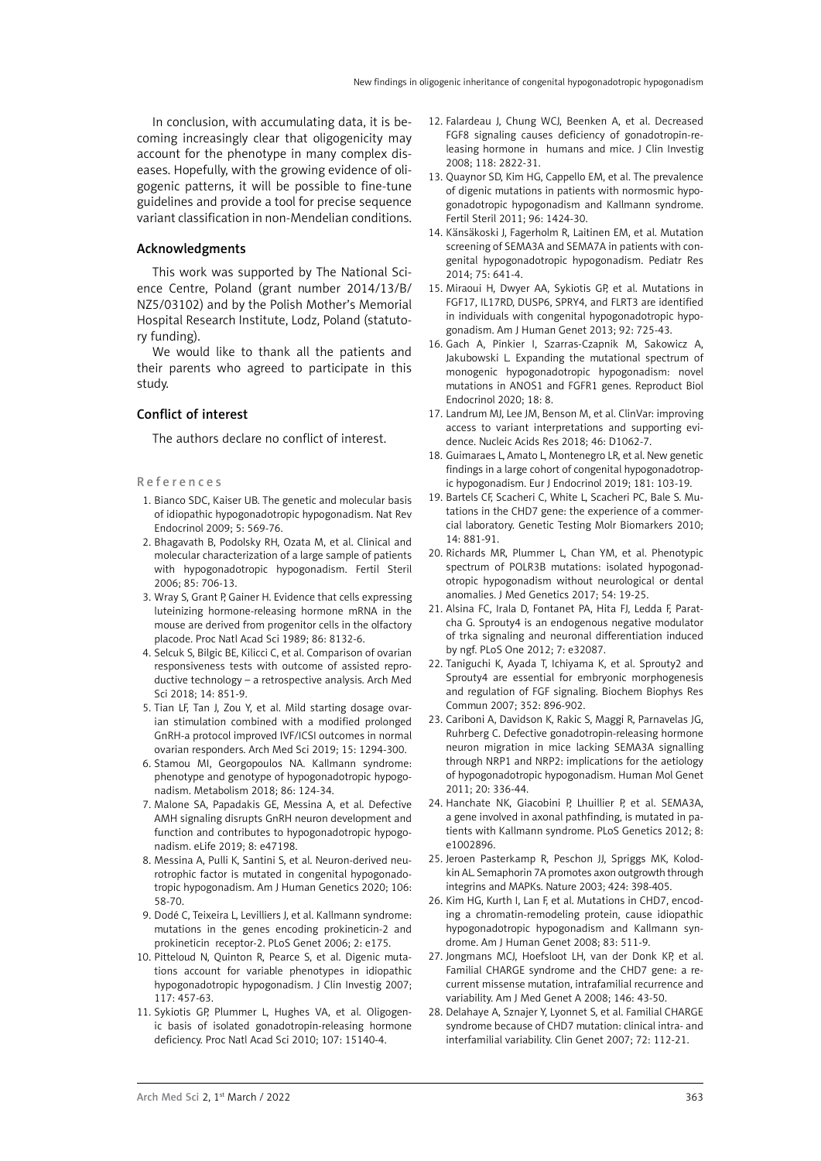In conclusion, with accumulating data, it is becoming increasingly clear that oligogenicity may account for the phenotype in many complex diseases. Hopefully, with the growing evidence of oligogenic patterns, it will be possible to fine-tune guidelines and provide a tool for precise sequence variant classification in non-Mendelian conditions.

## Acknowledgments

This work was supported by The National Science Centre, Poland (grant number 2014/13/B/ NZ5/03102) and by the Polish Mother's Memorial Hospital Research Institute, Lodz, Poland (statutory funding).

We would like to thank all the patients and their parents who agreed to participate in this study.

## Conflict of interest

The authors declare no conflict of interest.

#### References

- 1. Bianco SDC, Kaiser UB. The genetic and molecular basis of idiopathic hypogonadotropic hypogonadism. Nat Rev Endocrinol 2009; 5: 569-76.
- 2. Bhagavath B, Podolsky RH, Ozata M, et al. Clinical and molecular characterization of a large sample of patients with hypogonadotropic hypogonadism. Fertil Steril 2006; 85: 706-13.
- 3. Wray S, Grant P, Gainer H. Evidence that cells expressing luteinizing hormone-releasing hormone mRNA in the mouse are derived from progenitor cells in the olfactory placode. Proc Natl Acad Sci 1989; 86: 8132-6.
- 4. Selcuk S, Bilgic BE, Kilicci C, et al. Comparison of ovarian responsiveness tests with outcome of assisted reproductive technology – a retrospective analysis. Arch Med Sci 2018; 14: 851-9.
- 5. Tian LF, Tan J, Zou Y, et al. Mild starting dosage ovarian stimulation combined with a modified prolonged GnRH-a protocol improved IVF/ICSI outcomes in normal ovarian responders. Arch Med Sci 2019; 15: 1294-300.
- 6. Stamou MI, Georgopoulos NA. Kallmann syndrome: phenotype and genotype of hypogonadotropic hypogonadism. Metabolism 2018; 86: 124-34.
- 7. Malone SA, Papadakis GE, Messina A, et al. Defective AMH signaling disrupts GnRH neuron development and function and contributes to hypogonadotropic hypogonadism. eLife 2019; 8: e47198.
- 8. Messina A, Pulli K, Santini S, et al. Neuron-derived neurotrophic factor is mutated in congenital hypogonadotropic hypogonadism. Am J Human Genetics 2020; 106: 58-70.
- 9. Dodé C, Teixeira L, Levilliers J, et al. Kallmann syndrome: mutations in the genes encoding prokineticin-2 and prokineticin receptor-2. PLoS Genet 2006; 2: e175.
- 10. Pitteloud N, Quinton R, Pearce S, et al. Digenic mutations account for variable phenotypes in idiopathic hypogonadotropic hypogonadism. J Clin Investig 2007; 117: 457-63.
- 11. Sykiotis GP, Plummer L, Hughes VA, et al. Oligogenic basis of isolated gonadotropin-releasing hormone deficiency. Proc Natl Acad Sci 2010; 107: 15140-4.
- 12. Falardeau J, Chung WCJ, Beenken A, et al. Decreased FGF8 signaling causes deficiency of gonadotropin-releasing hormone in humans and mice. J Clin Investig 2008; 118: 2822-31.
- 13. Quaynor SD, Kim HG, Cappello EM, et al. The prevalence of digenic mutations in patients with normosmic hypogonadotropic hypogonadism and Kallmann syndrome. Fertil Steril 2011; 96: 1424-30.
- 14. Känsäkoski J, Fagerholm R, Laitinen EM, et al. Mutation screening of SEMA3A and SEMA7A in patients with congenital hypogonadotropic hypogonadism. Pediatr Res 2014; 75: 641-4.
- 15. Miraoui H, Dwyer AA, Sykiotis GP, et al. Mutations in FGF17, IL17RD, DUSP6, SPRY4, and FLRT3 are identified in individuals with congenital hypogonadotropic hypogonadism. Am J Human Genet 2013; 92: 725-43.
- 16. Gach A, Pinkier I, Szarras-Czapnik M, Sakowicz A, Jakubowski L. Expanding the mutational spectrum of monogenic hypogonadotropic hypogonadism: novel mutations in ANOS1 and FGFR1 genes. Reproduct Biol Endocrinol 2020; 18: 8.
- 17. Landrum MJ, Lee JM, Benson M, et al. ClinVar: improving access to variant interpretations and supporting evidence. Nucleic Acids Res 2018; 46: D1062-7.
- 18. Guimaraes L, Amato L, Montenegro LR, et al. New genetic findings in a large cohort of congenital hypogonadotropic hypogonadism. Eur J Endocrinol 2019; 181: 103-19.
- 19. Bartels CF, Scacheri C, White L, Scacheri PC, Bale S. Mutations in the CHD7 gene: the experience of a commercial laboratory. Genetic Testing Molr Biomarkers 2010; 14: 881-91.
- 20. Richards MR, Plummer L, Chan YM, et al. Phenotypic spectrum of POLR3B mutations: isolated hypogonadotropic hypogonadism without neurological or dental anomalies. J Med Genetics 2017; 54: 19-25.
- 21. Alsina FC, Irala D, Fontanet PA, Hita FJ, Ledda F, Paratcha G. Sprouty4 is an endogenous negative modulator of trka signaling and neuronal differentiation induced by ngf. PLoS One 2012; 7: e32087.
- 22. Taniguchi K, Ayada T, Ichiyama K, et al. Sprouty2 and Sprouty4 are essential for embryonic morphogenesis and regulation of FGF signaling. Biochem Biophys Res Commun 2007; 352: 896-902.
- 23. Cariboni A, Davidson K, Rakic S, Maggi R, Parnavelas JG, Ruhrberg C. Defective gonadotropin-releasing hormone neuron migration in mice lacking SEMA3A signalling through NRP1 and NRP2: implications for the aetiology of hypogonadotropic hypogonadism. Human Mol Genet 2011; 20: 336-44.
- 24. Hanchate NK, Giacobini P, Lhuillier P, et al. SEMA3A, a gene involved in axonal pathfinding, is mutated in patients with Kallmann syndrome. PLoS Genetics 2012; 8: e1002896.
- 25. Jeroen Pasterkamp R, Peschon JJ, Spriggs MK, Kolodkin AL. Semaphorin 7A promotes axon outgrowth through integrins and MAPKs. Nature 2003; 424: 398-405.
- 26. Kim HG, Kurth I, Lan F, et al. Mutations in CHD7, encoding a chromatin-remodeling protein, cause idiopathic hypogonadotropic hypogonadism and Kallmann syndrome. Am J Human Genet 2008; 83: 511-9.
- 27. Jongmans MCJ, Hoefsloot LH, van der Donk KP, et al. Familial CHARGE syndrome and the CHD7 gene: a recurrent missense mutation, intrafamilial recurrence and variability. Am J Med Genet A 2008; 146: 43-50.
- 28. Delahaye A, Sznajer Y, Lyonnet S, et al. Familial CHARGE syndrome because of CHD7 mutation: clinical intra- and interfamilial variability. Clin Genet 2007; 72: 112-21.